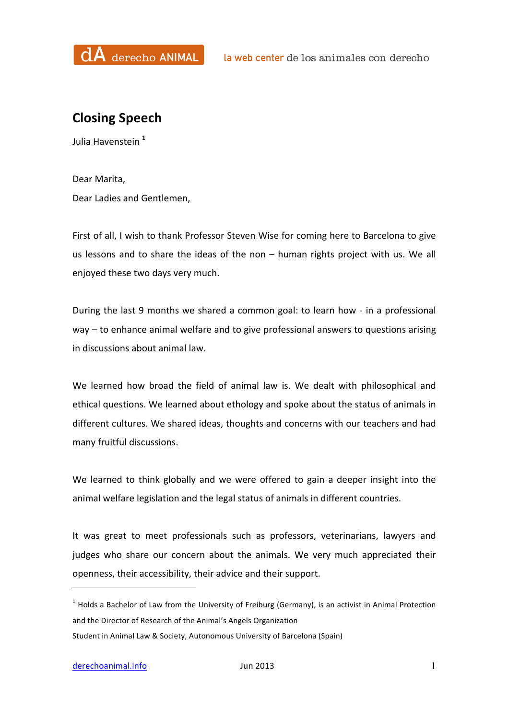

## **Closing Speech**

Julia Havenstein **<sup>1</sup>**

Dear Marita, Dear Ladies and Gentlemen,

First of all, I wish to thank Professor Steven Wise for coming here to Barcelona to give us lessons and to share the ideas of the non  $-$  human rights project with us. We all enjoyed these two days very much.

During the last 9 months we shared a common goal: to learn how - in a professional  $way - to enhance animal welfare and to give professional answers to questions arising$ in discussions about animal law.

We learned how broad the field of animal law is. We dealt with philosophical and ethical questions. We learned about ethology and spoke about the status of animals in different cultures. We shared ideas, thoughts and concerns with our teachers and had many fruitful discussions.

We learned to think globally and we were offered to gain a deeper insight into the animal welfare legislation and the legal status of animals in different countries.

It was great to meet professionals such as professors, veterinarians, lawyers and judges who share our concern about the animals. We very much appreciated their openness, their accessibility, their advice and their support.

 

 $1$  Holds a Bachelor of Law from the University of Freiburg (Germany), is an activist in Animal Protection and the Director of Research of the Animal's Angels Organization

Student in Animal Law & Society, Autonomous University of Barcelona (Spain)